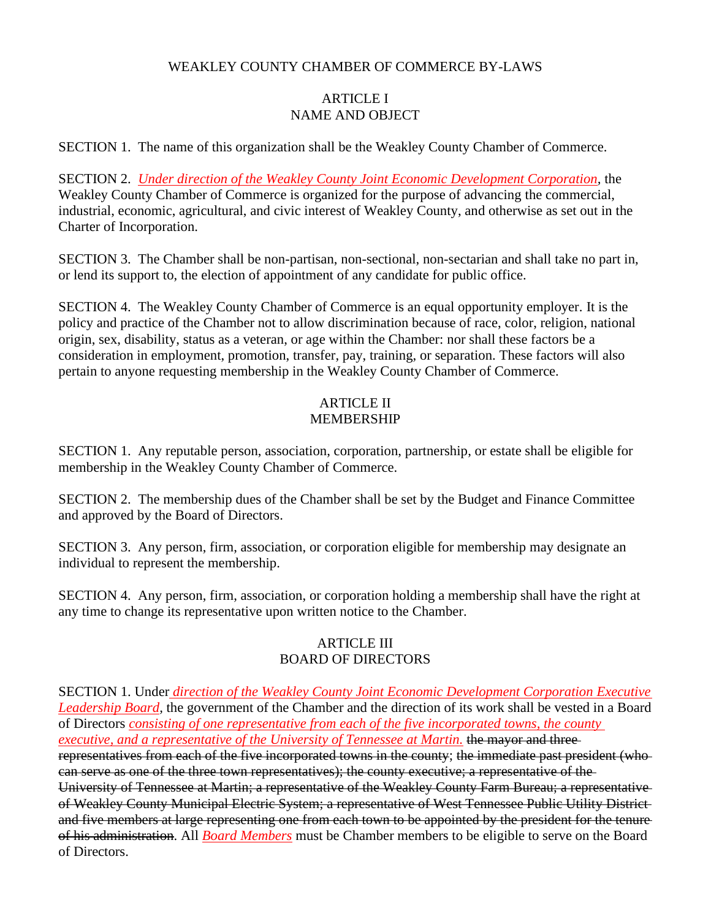# WEAKLEY COUNTY CHAMBER OF COMMERCE BY-LAWS

# ARTICLE I NAME AND OBJECT

SECTION 1. The name of this organization shall be the Weakley County Chamber of Commerce.

SECTION 2. *Under direction of the Weakley County Joint Economic Development Corporation,* the Weakley County Chamber of Commerce is organized for the purpose of advancing the commercial, industrial, economic, agricultural, and civic interest of Weakley County, and otherwise as set out in the Charter of Incorporation.

SECTION 3. The Chamber shall be non-partisan, non-sectional, non-sectarian and shall take no part in, or lend its support to, the election of appointment of any candidate for public office.

SECTION 4. The Weakley County Chamber of Commerce is an equal opportunity employer. It is the policy and practice of the Chamber not to allow discrimination because of race, color, religion, national origin, sex, disability, status as a veteran, or age within the Chamber: nor shall these factors be a consideration in employment, promotion, transfer, pay, training, or separation. These factors will also pertain to anyone requesting membership in the Weakley County Chamber of Commerce.

### ARTICLE II MEMBERSHIP

SECTION 1. Any reputable person, association, corporation, partnership, or estate shall be eligible for membership in the Weakley County Chamber of Commerce.

SECTION 2. The membership dues of the Chamber shall be set by the Budget and Finance Committee and approved by the Board of Directors.

SECTION 3. Any person, firm, association, or corporation eligible for membership may designate an individual to represent the membership.

SECTION 4. Any person, firm, association, or corporation holding a membership shall have the right at any time to change its representative upon written notice to the Chamber.

## ARTICLE III BOARD OF DIRECTORS

SECTION 1. Under *direction of the Weakley County Joint Economic Development Corporation Executive Leadership Board,* the government of the Chamber and the direction of its work shall be vested in a Board of Directors *consisting of one representative from each of the five incorporated towns, the county executive, and a representative of the University of Tennessee at Martin.* the mayor and three representatives from each of the five incorporated towns in the county; the immediate past president (who can serve as one of the three town representatives); the county executive; a representative of the University of Tennessee at Martin; a representative of the Weakley County Farm Bureau; a representative of Weakley County Municipal Electric System; a representative of West Tennessee Public Utility District and five members at large representing one from each town to be appointed by the president for the tenure of his administration. All *Board Members* must be Chamber members to be eligible to serve on the Board of Directors.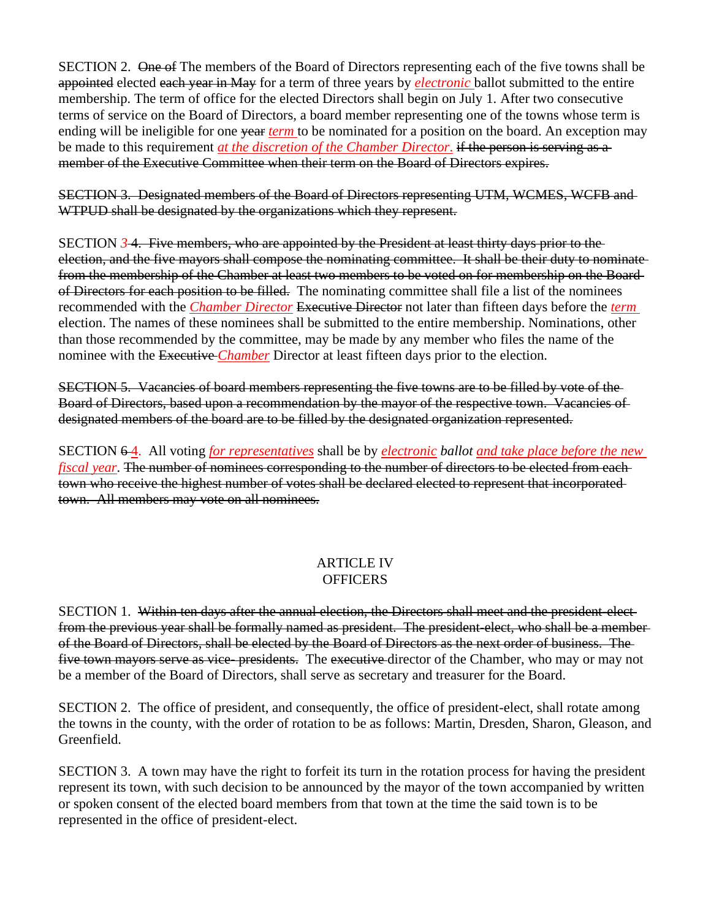SECTION 2. One of The members of the Board of Directors representing each of the five towns shall be appointed elected each year in May for a term of three years by *electronic* ballot submitted to the entire membership. The term of office for the elected Directors shall begin on July 1. After two consecutive terms of service on the Board of Directors, a board member representing one of the towns whose term is ending will be ineligible for one year *term* to be nominated for a position on the board. An exception may be made to this requirement *at the discretion of the Chamber Director*. if the person is serving as a member of the Executive Committee when their term on the Board of Directors expires.

SECTION 3. Designated members of the Board of Directors representing UTM, WCMES, WCFB and WTPUD shall be designated by the organizations which they represent.

SECTION *3* 4. Five members, who are appointed by the President at least thirty days prior to the election, and the five mayors shall compose the nominating committee. It shall be their duty to nominate from the membership of the Chamber at least two members to be voted on for membership on the Board of Directors for each position to be filled. The nominating committee shall file a list of the nominees recommended with the *Chamber Director* Executive Director not later than fifteen days before the *term*  election. The names of these nominees shall be submitted to the entire membership. Nominations, other than those recommended by the committee, may be made by any member who files the name of the nominee with the Executive *Chamber* Director at least fifteen days prior to the election.

SECTION 5. Vacancies of board members representing the five towns are to be filled by vote of the Board of Directors, based upon a recommendation by the mayor of the respective town. Vacancies of designated members of the board are to be filled by the designated organization represented.

SECTION 6 4. All voting *for representatives* shall be by *electronic ballot and take place before the new fiscal year*. The number of nominees corresponding to the number of directors to be elected from each town who receive the highest number of votes shall be declared elected to represent that incorporated town. All members may vote on all nominees.

### ARTICLE IV **OFFICERS**

SECTION 1. Within ten days after the annual election, the Directors shall meet and the president-electfrom the previous year shall be formally named as president. The president-elect, who shall be a member of the Board of Directors, shall be elected by the Board of Directors as the next order of business. The five town mayors serve as vice-presidents. The executive director of the Chamber, who may or may not be a member of the Board of Directors, shall serve as secretary and treasurer for the Board.

SECTION 2. The office of president, and consequently, the office of president-elect, shall rotate among the towns in the county, with the order of rotation to be as follows: Martin, Dresden, Sharon, Gleason, and Greenfield.

SECTION 3. A town may have the right to forfeit its turn in the rotation process for having the president represent its town, with such decision to be announced by the mayor of the town accompanied by written or spoken consent of the elected board members from that town at the time the said town is to be represented in the office of president-elect.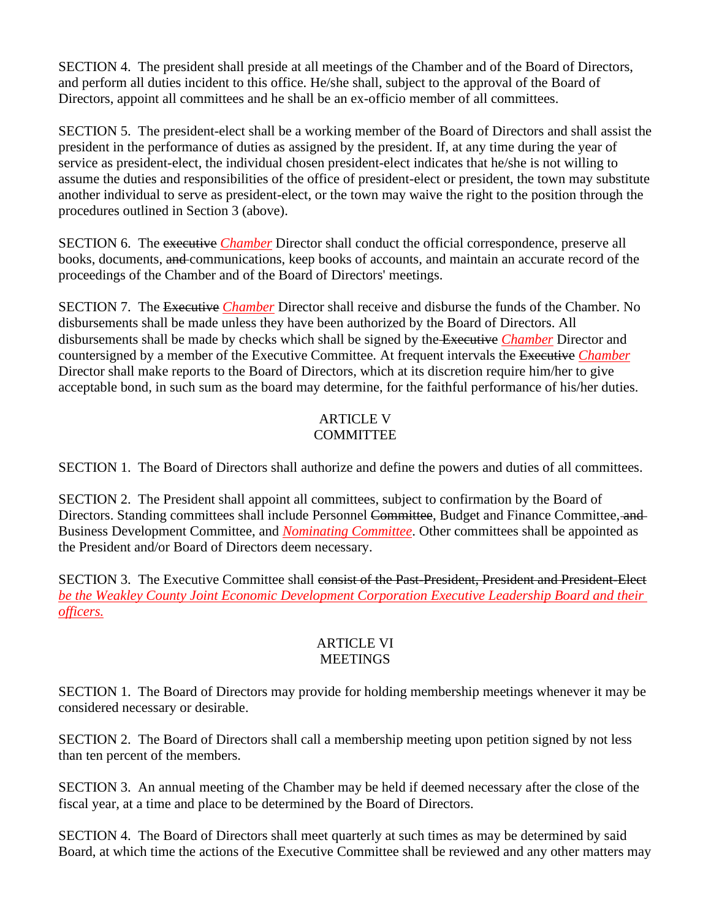SECTION 4. The president shall preside at all meetings of the Chamber and of the Board of Directors, and perform all duties incident to this office. He/she shall, subject to the approval of the Board of Directors, appoint all committees and he shall be an ex-officio member of all committees.

SECTION 5. The president-elect shall be a working member of the Board of Directors and shall assist the president in the performance of duties as assigned by the president. If, at any time during the year of service as president-elect, the individual chosen president-elect indicates that he/she is not willing to assume the duties and responsibilities of the office of president-elect or president, the town may substitute another individual to serve as president-elect, or the town may waive the right to the position through the procedures outlined in Section 3 (above).

SECTION 6. The executive *Chamber* Director shall conduct the official correspondence, preserve all books, documents, and communications, keep books of accounts, and maintain an accurate record of the proceedings of the Chamber and of the Board of Directors' meetings.

SECTION 7. The Executive *Chamber* Director shall receive and disburse the funds of the Chamber. No disbursements shall be made unless they have been authorized by the Board of Directors. All disbursements shall be made by checks which shall be signed by the Executive *Chamber* Director and countersigned by a member of the Executive Committee. At frequent intervals the Executive *Chamber* Director shall make reports to the Board of Directors, which at its discretion require him/her to give acceptable bond, in such sum as the board may determine, for the faithful performance of his/her duties.

## ARTICLE V **COMMITTEE**

SECTION 1. The Board of Directors shall authorize and define the powers and duties of all committees.

SECTION 2. The President shall appoint all committees, subject to confirmation by the Board of Directors. Standing committees shall include Personnel Committee, Budget and Finance Committee, and Business Development Committee, and *Nominating Committee*. Other committees shall be appointed as the President and/or Board of Directors deem necessary.

SECTION 3. The Executive Committee shall consist of the Past-President, President and President-Elect *be the Weakley County Joint Economic Development Corporation Executive Leadership Board and their officers.*

## ARTICLE VI **MEETINGS**

SECTION 1. The Board of Directors may provide for holding membership meetings whenever it may be considered necessary or desirable.

SECTION 2. The Board of Directors shall call a membership meeting upon petition signed by not less than ten percent of the members.

SECTION 3. An annual meeting of the Chamber may be held if deemed necessary after the close of the fiscal year, at a time and place to be determined by the Board of Directors.

SECTION 4. The Board of Directors shall meet quarterly at such times as may be determined by said Board, at which time the actions of the Executive Committee shall be reviewed and any other matters may